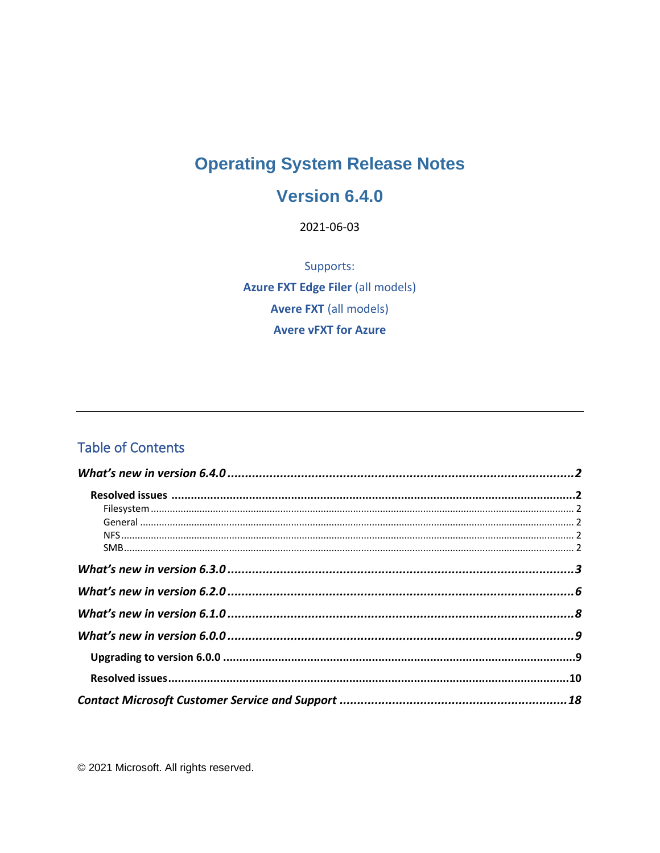# **Operating System Release Notes**

## Version 6.4.0

2021-06-03

Supports: **Azure FXT Edge Filer (all models) Avere FXT (all models) Avere vFXT for Azure** 

## **Table of Contents**

© 2021 Microsoft. All rights reserved.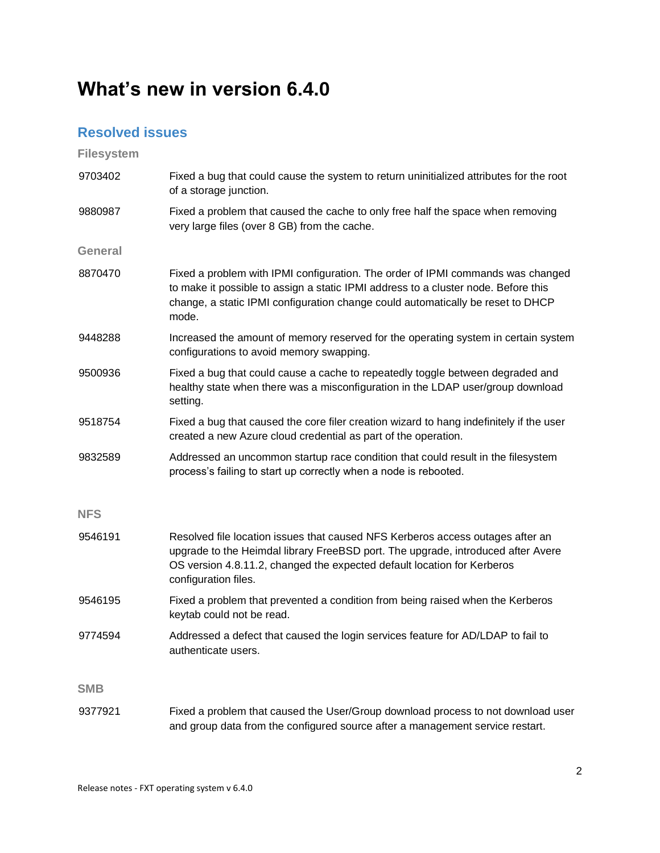# <span id="page-1-0"></span>**What's new in version 6.4.0**

### <span id="page-1-1"></span>**Resolved issues**

<span id="page-1-4"></span><span id="page-1-3"></span><span id="page-1-2"></span>

| <b>Filesystem</b> |                                                                                                                                                                                                                                                                       |
|-------------------|-----------------------------------------------------------------------------------------------------------------------------------------------------------------------------------------------------------------------------------------------------------------------|
| 9703402           | Fixed a bug that could cause the system to return uninitialized attributes for the root<br>of a storage junction.                                                                                                                                                     |
| 9880987           | Fixed a problem that caused the cache to only free half the space when removing<br>very large files (over 8 GB) from the cache.                                                                                                                                       |
| <b>General</b>    |                                                                                                                                                                                                                                                                       |
| 8870470           | Fixed a problem with IPMI configuration. The order of IPMI commands was changed<br>to make it possible to assign a static IPMI address to a cluster node. Before this<br>change, a static IPMI configuration change could automatically be reset to DHCP<br>mode.     |
| 9448288           | Increased the amount of memory reserved for the operating system in certain system<br>configurations to avoid memory swapping.                                                                                                                                        |
| 9500936           | Fixed a bug that could cause a cache to repeatedly toggle between degraded and<br>healthy state when there was a misconfiguration in the LDAP user/group download<br>setting.                                                                                         |
| 9518754           | Fixed a bug that caused the core filer creation wizard to hang indefinitely if the user<br>created a new Azure cloud credential as part of the operation.                                                                                                             |
| 9832589           | Addressed an uncommon startup race condition that could result in the filesystem<br>process's failing to start up correctly when a node is rebooted.                                                                                                                  |
| <b>NFS</b>        |                                                                                                                                                                                                                                                                       |
| 9546191           | Resolved file location issues that caused NFS Kerberos access outages after an<br>upgrade to the Heimdal library FreeBSD port. The upgrade, introduced after Avere<br>OS version 4.8.11.2, changed the expected default location for Kerberos<br>configuration files. |
| 9546195           | Fixed a problem that prevented a condition from being raised when the Kerberos<br>keytab could not be read.                                                                                                                                                           |
| 9774594           | Addressed a defect that caused the login services feature for AD/LDAP to fail to<br>authenticate users.                                                                                                                                                               |
| <b>SMB</b>        |                                                                                                                                                                                                                                                                       |
| 9377921           | Fixed a problem that caused the User/Group download process to not download user<br>and group data from the configured source after a management service restart.                                                                                                     |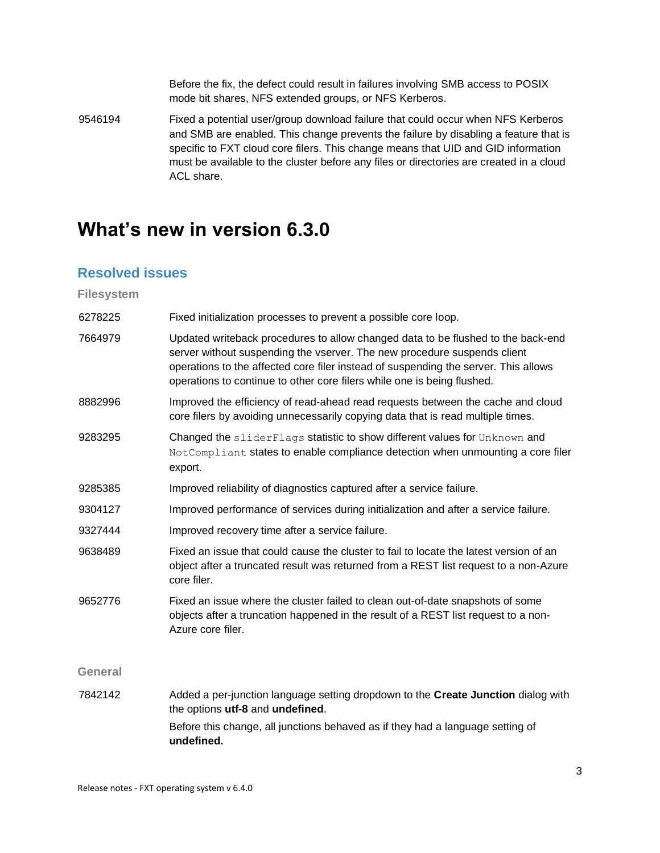Before the fix, the defect could result in failures involving SMB access to POSIX mode bit shares, NFS extended groups, or NFS Kerberos.

9546194 Fixed a potential user/group download failure that could occur when NFS Kerberos and SMB are enabled. This change prevents the failure by disabling a feature that is specific to FXT cloud core filers. This change means that UID and GID information must be available to the cluster before any files or directories are created in a cloud ACL share.

## <span id="page-2-0"></span>**What's new in version 6.3.0**

#### **Resolved issues**

**Filesystem** 6278225 Fixed initialization processes to prevent a possible core loop. 7664979 Updated writeback procedures to allow changed data to be flushed to the back-end server without suspending the vserver. The new procedure suspends client operations to the affected core filer instead of suspending the server. This allows operations to continue to other core filers while one is being flushed. 8882996 Improved the efficiency of read-ahead read requests between the cache and cloud core filers by avoiding unnecessarily copying data that is read multiple times. 9283295 Changed the sliderFlags statistic to show different values for Unknown and NotCompliant states to enable compliance detection when unmounting a core filer export. 9285385 Improved reliability of diagnostics captured after a service failure. 9304127 Improved performance of services during initialization and after a service failure. 9327444 Improved recovery time after a service failure. 9638489 Fixed an issue that could cause the cluster to fail to locate the latest version of an object after a truncated result was returned from a REST list request to a non-Azure core filer. 9652776 Fixed an issue where the cluster failed to clean out-of-date snapshots of some objects after a truncation happened in the result of a REST list request to a non-Azure core filer. **General** 7842142 Added a per-junction language setting dropdown to the **Create Junction** dialog with the options **utf-8** and **undefined**. Before this change, all junctions behaved as if they had a language setting of **undefined.**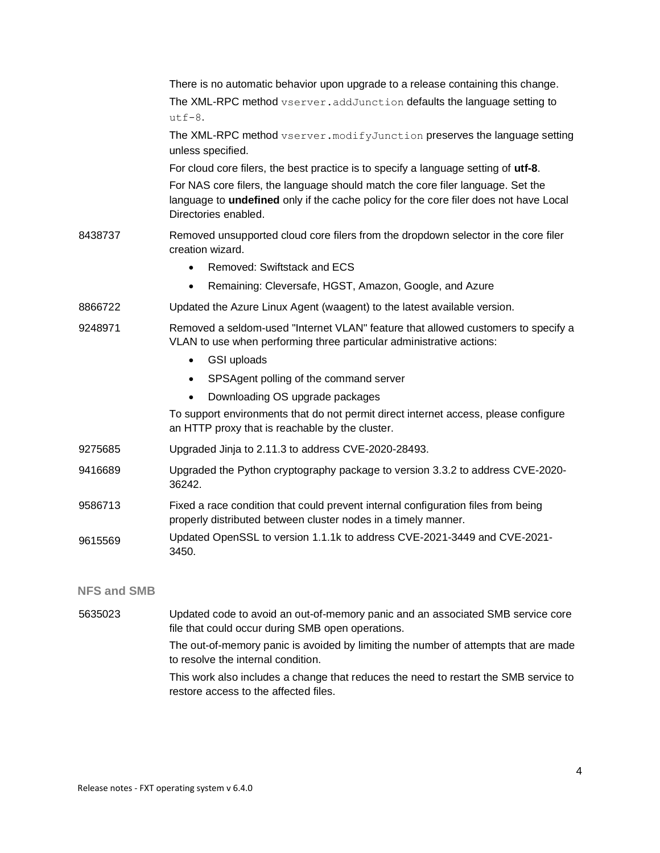|                    | There is no automatic behavior upon upgrade to a release containing this change.<br>The XML-RPC method vserver. addJunction defaults the language setting to<br>$utf-8.$                         |
|--------------------|--------------------------------------------------------------------------------------------------------------------------------------------------------------------------------------------------|
|                    | The XML-RPC method vserver. modifyJunction preserves the language setting<br>unless specified.                                                                                                   |
|                    | For cloud core filers, the best practice is to specify a language setting of utf-8.                                                                                                              |
|                    | For NAS core filers, the language should match the core filer language. Set the<br>language to undefined only if the cache policy for the core filer does not have Local<br>Directories enabled. |
| 8438737            | Removed unsupported cloud core filers from the dropdown selector in the core filer<br>creation wizard.                                                                                           |
|                    | Removed: Swiftstack and ECS                                                                                                                                                                      |
|                    | Remaining: Cleversafe, HGST, Amazon, Google, and Azure<br>$\bullet$                                                                                                                              |
| 8866722            | Updated the Azure Linux Agent (waagent) to the latest available version.                                                                                                                         |
| 9248971            | Removed a seldom-used "Internet VLAN" feature that allowed customers to specify a<br>VLAN to use when performing three particular administrative actions:<br><b>GSI uploads</b><br>$\bullet$     |
|                    | SPSAgent polling of the command server<br>$\bullet$                                                                                                                                              |
|                    | Downloading OS upgrade packages                                                                                                                                                                  |
|                    | To support environments that do not permit direct internet access, please configure<br>an HTTP proxy that is reachable by the cluster.                                                           |
| 9275685            | Upgraded Jinja to 2.11.3 to address CVE-2020-28493.                                                                                                                                              |
| 9416689            | Upgraded the Python cryptography package to version 3.3.2 to address CVE-2020-<br>36242.                                                                                                         |
| 9586713            | Fixed a race condition that could prevent internal configuration files from being<br>properly distributed between cluster nodes in a timely manner.                                              |
| 9615569            | Updated OpenSSL to version 1.1.1k to address CVE-2021-3449 and CVE-2021-<br>3450.                                                                                                                |
| <b>NFS and SMB</b> |                                                                                                                                                                                                  |
| 5635023            | Updated code to avoid an out-of-memory panic and an associated SMB service core<br>file that could occur during SMB open operations.                                                             |
|                    | The out-of-memory panic is avoided by limiting the number of attempts that are made<br>to resolve the internal condition.                                                                        |
|                    | This work also includes a change that reduces the need to restart the SMB service to<br>restore access to the affected files.                                                                    |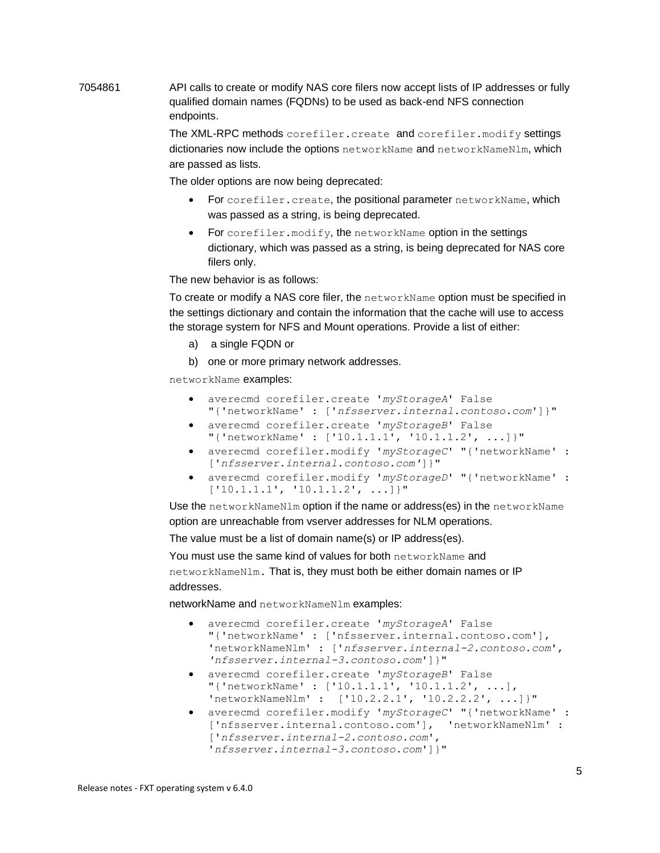7054861 API calls to create or modify NAS core filers now accept lists of IP addresses or fully qualified domain names (FQDNs) to be used as back-end NFS connection endpoints.

> The XML-RPC methods corefiler.create and corefiler.modify settings dictionaries now include the options networkName and networkNameNlm, which are passed as lists.

The older options are now being deprecated:

- For corefiler.create, the positional parameter networkName, which was passed as a string, is being deprecated.
- For corefiler. modify, the networkName option in the settings dictionary, which was passed as a string, is being deprecated for NAS core filers only.

The new behavior is as follows:

To create or modify a NAS core filer, the networkName option must be specified in the settings dictionary and contain the information that the cache will use to access the storage system for NFS and Mount operations. Provide a list of either:

- a) a single FQDN or
- b) one or more primary network addresses.

networkName examples:

- averecmd corefiler.create '*myStorageA*' False "{'networkName' : ['*nfsserver.internal.contoso.com*']}"
- averecmd corefiler.create '*myStorageB*' False "{'networkName' : ['10.1.1.1', '10.1.1.2', ...]}"
- averecmd corefiler.modify '*myStorageC*' "{'networkName' : ['*nfsserver.internal.contoso.com'*]}"
- averecmd corefiler.modify '*myStorageD*' "{'networkName' : ['10.1.1.1', '10.1.1.2', ...]}"

Use the networkNameNlm option if the name or address(es) in the networkName option are unreachable from vserver addresses for NLM operations.

The value must be a list of domain name(s) or IP address(es).

You must use the same kind of values for both networkName and networkNameNlm. That is, they must both be either domain names or IP addresses.

networkName and networkNameNlm examples:

- averecmd corefiler.create '*myStorageA*' False "{'networkName' : ['nfsserver.internal.contoso.com'], 'networkNameNlm' : ['*nfsserver.internal-2.contoso.com*', *'nfsserver.internal-3.contoso.com*']}"
- averecmd corefiler.create '*myStorageB*' False "{'networkName' : ['10.1.1.1', '10.1.1.2', ...], 'networkNameNlm' : ['10.2.2.1', '10.2.2.2', ...]}"
- averecmd corefiler.modify '*myStorageC*' "{'networkName' : ['nfsserver.internal.contoso.com'], 'networkNameNlm' : ['*nfsserver.internal-2.contoso.com*', '*nfsserver.internal-3.contoso.com*']}"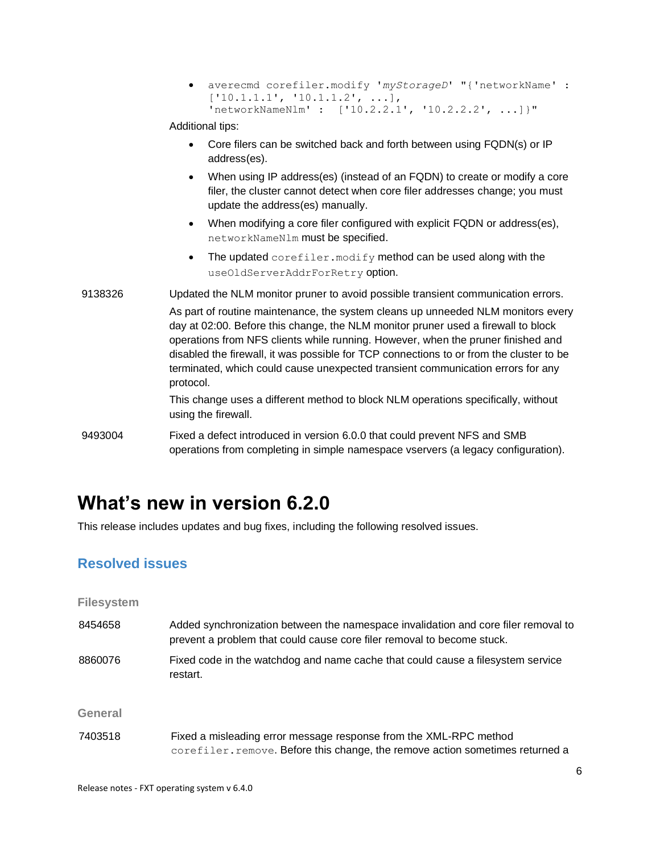• averecmd corefiler.modify '*myStorageD*' "{'networkName' : ['10.1.1.1', '10.1.1.2', ...], 'networkNameNlm' : ['10.2.2.1', '10.2.2.2', ...]}"

Additional tips:

- Core filers can be switched back and forth between using FQDN(s) or IP address(es).
- When using IP address(es) (instead of an FQDN) to create or modify a core filer, the cluster cannot detect when core filer addresses change; you must update the address(es) manually.
- When modifying a core filer configured with explicit FQDN or address(es), networkNameNlm must be specified.
- The updated corefiler.modify method can be used along with the useOldServerAddrForRetry option.

9138326 Updated the NLM monitor pruner to avoid possible transient communication errors.

As part of routine maintenance, the system cleans up unneeded NLM monitors every day at 02:00. Before this change, the NLM monitor pruner used a firewall to block operations from NFS clients while running. However, when the pruner finished and disabled the firewall, it was possible for TCP connections to or from the cluster to be terminated, which could cause unexpected transient communication errors for any protocol.

This change uses a different method to block NLM operations specifically, without using the firewall.

9493004 Fixed a defect introduced in version 6.0.0 that could prevent NFS and SMB operations from completing in simple namespace vservers (a legacy configuration).

# <span id="page-5-0"></span>**What's new in version 6.2.0**

This release includes updates and bug fixes, including the following resolved issues.

### **Resolved issues**

| <b>Filesystem</b> |                                                                                                                                                              |
|-------------------|--------------------------------------------------------------------------------------------------------------------------------------------------------------|
| 8454658           | Added synchronization between the namespace invalidation and core filer removal to<br>prevent a problem that could cause core filer removal to become stuck. |
| 8860076           | Fixed code in the watchdog and name cache that could cause a filesystem service<br>restart.                                                                  |
| General           |                                                                                                                                                              |
| 7403518           | Fixed a misleading error message response from the XML-RPC method<br>corefiler.remove. Before this change, the remove action sometimes returned a            |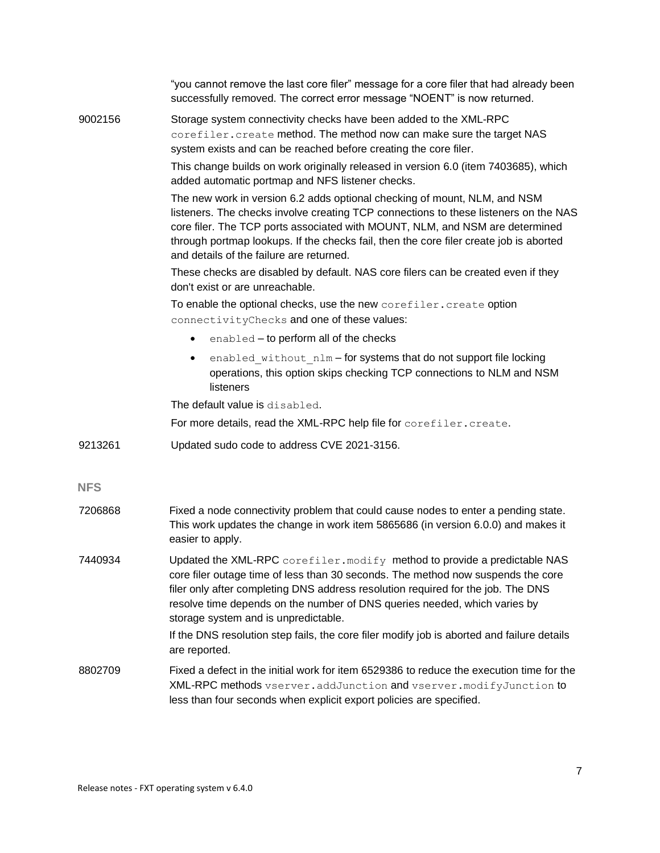|            | "you cannot remove the last core filer" message for a core filer that had already been<br>successfully removed. The correct error message "NOENT" is now returned.                                                                                                                                                                                                                      |
|------------|-----------------------------------------------------------------------------------------------------------------------------------------------------------------------------------------------------------------------------------------------------------------------------------------------------------------------------------------------------------------------------------------|
| 9002156    | Storage system connectivity checks have been added to the XML-RPC<br>corefiler. create method. The method now can make sure the target NAS<br>system exists and can be reached before creating the core filer.                                                                                                                                                                          |
|            | This change builds on work originally released in version 6.0 (item 7403685), which<br>added automatic portmap and NFS listener checks.                                                                                                                                                                                                                                                 |
|            | The new work in version 6.2 adds optional checking of mount, NLM, and NSM<br>listeners. The checks involve creating TCP connections to these listeners on the NAS<br>core filer. The TCP ports associated with MOUNT, NLM, and NSM are determined<br>through portmap lookups. If the checks fail, then the core filer create job is aborted<br>and details of the failure are returned. |
|            | These checks are disabled by default. NAS core filers can be created even if they<br>don't exist or are unreachable.                                                                                                                                                                                                                                                                    |
|            | To enable the optional checks, use the new corefiler. create option<br>connectivityChecks and one of these values:                                                                                                                                                                                                                                                                      |
|            | enabled - to perform all of the checks<br>$\bullet$                                                                                                                                                                                                                                                                                                                                     |
|            | enabled without nlm - for systems that do not support file locking<br>٠<br>operations, this option skips checking TCP connections to NLM and NSM<br>listeners                                                                                                                                                                                                                           |
|            | The default value is disabled.                                                                                                                                                                                                                                                                                                                                                          |
|            | For more details, read the XML-RPC help file for corefiler.create.                                                                                                                                                                                                                                                                                                                      |
| 9213261    | Updated sudo code to address CVE 2021-3156.                                                                                                                                                                                                                                                                                                                                             |
| <b>NFS</b> |                                                                                                                                                                                                                                                                                                                                                                                         |
| 7206868    | Fixed a node connectivity problem that could cause nodes to enter a pending state.<br>This work updates the change in work item 5865686 (in version 6.0.0) and makes it<br>easier to apply.                                                                                                                                                                                             |
| 7440934    | Updated the XML-RPC corefiler. modify method to provide a predictable NAS<br>core filer outage time of less than 30 seconds. The method now suspends the core<br>filer only after completing DNS address resolution required for the job. The DNS<br>resolve time depends on the number of DNS queries needed, which varies by<br>storage system and is unpredictable.                  |
|            | If the DNS resolution step fails, the core filer modify job is aborted and failure details<br>are reported.                                                                                                                                                                                                                                                                             |
| 8802709    | Fixed a defect in the initial work for item 6529386 to reduce the execution time for the<br>XML-RPC methods vserver.addJunction and vserver.modifyJunction to<br>less than four seconds when explicit export policies are specified.                                                                                                                                                    |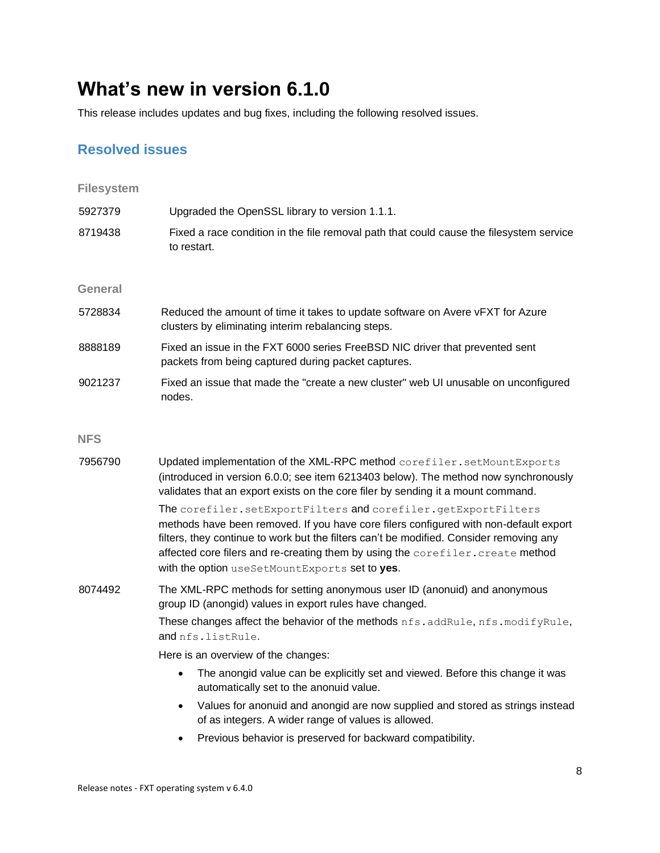# <span id="page-7-0"></span>**What's new in version 6.1.0**

This release includes updates and bug fixes, including the following resolved issues.

### **Resolved issues**

| <b>Filesystem</b> |                                                                                                                                                                                                                                                                                                                                                                                        |
|-------------------|----------------------------------------------------------------------------------------------------------------------------------------------------------------------------------------------------------------------------------------------------------------------------------------------------------------------------------------------------------------------------------------|
| 5927379           | Upgraded the OpenSSL library to version 1.1.1.                                                                                                                                                                                                                                                                                                                                         |
| 8719438           | Fixed a race condition in the file removal path that could cause the filesystem service<br>to restart.                                                                                                                                                                                                                                                                                 |
| General           |                                                                                                                                                                                                                                                                                                                                                                                        |
| 5728834           | Reduced the amount of time it takes to update software on Avere vFXT for Azure<br>clusters by eliminating interim rebalancing steps.                                                                                                                                                                                                                                                   |
| 8888189           | Fixed an issue in the FXT 6000 series FreeBSD NIC driver that prevented sent<br>packets from being captured during packet captures.                                                                                                                                                                                                                                                    |
| 9021237           | Fixed an issue that made the "create a new cluster" web UI unusable on unconfigured<br>nodes.                                                                                                                                                                                                                                                                                          |
| NFS               |                                                                                                                                                                                                                                                                                                                                                                                        |
| 7956790           | Updated implementation of the XML-RPC method corefiler.setMountExports<br>(introduced in version 6.0.0; see item 6213403 below). The method now synchronously<br>validates that an export exists on the core filer by sending it a mount command.                                                                                                                                      |
|                   | The corefiler.setExportFilters and corefiler.getExportFilters<br>methods have been removed. If you have core filers configured with non-default export<br>filters, they continue to work but the filters can't be modified. Consider removing any<br>affected core filers and re-creating them by using the corefiler. create method<br>with the option useSetMountExports set to yes. |
| 8074492           | The XML-RPC methods for setting anonymous user ID (anonuid) and anonymous<br>group ID (anongid) values in export rules have changed.                                                                                                                                                                                                                                                   |
|                   | These changes affect the behavior of the methods nfs.addRule, nfs.modifyRule,<br>and nfs.listRule.                                                                                                                                                                                                                                                                                     |
|                   | Here is an overview of the changes:                                                                                                                                                                                                                                                                                                                                                    |
|                   | The anongid value can be explicitly set and viewed. Before this change it was<br>$\bullet$<br>automatically set to the anonuid value.                                                                                                                                                                                                                                                  |
|                   | Values for anonuid and anongid are now supplied and stored as strings instead<br>$\bullet$<br>of as integers. A wider range of values is allowed.                                                                                                                                                                                                                                      |
|                   | Previous behavior is preserved for backward compatibility.                                                                                                                                                                                                                                                                                                                             |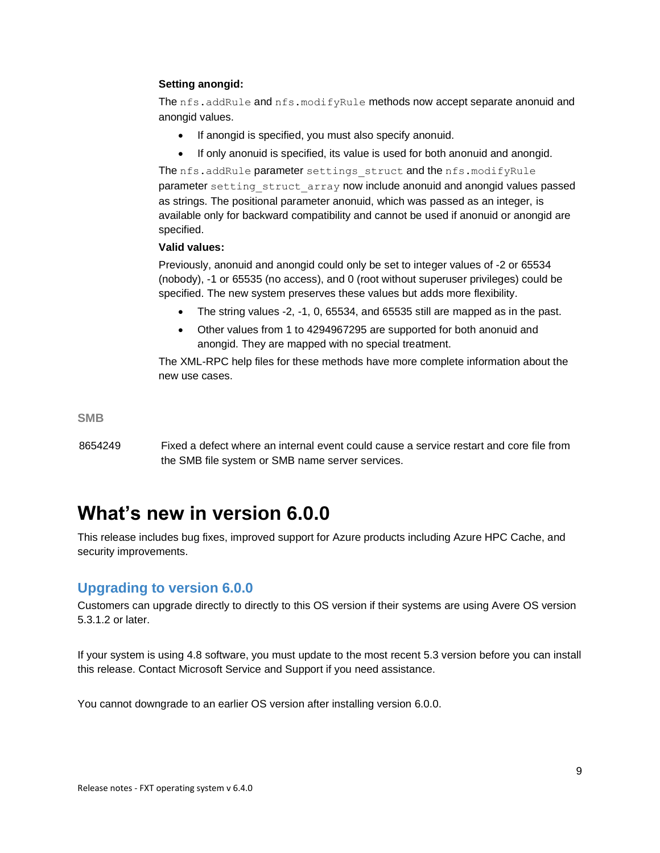#### **Setting anongid:**

The nfs.addRule and nfs.modifyRule methods now accept separate anonuid and anongid values.

- If anongid is specified, you must also specify anonuid.
- If only anonuid is specified, its value is used for both anonuid and anongid.

The nfs.addRule parameter settings struct and the nfs.modifyRule parameter setting struct array now include anonuid and anongid values passed as strings. The positional parameter anonuid, which was passed as an integer, is available only for backward compatibility and cannot be used if anonuid or anongid are specified.

#### **Valid values:**

Previously, anonuid and anongid could only be set to integer values of -2 or 65534 (nobody), -1 or 65535 (no access), and 0 (root without superuser privileges) could be specified. The new system preserves these values but adds more flexibility.

- The string values -2, -1, 0, 65534, and 65535 still are mapped as in the past.
- Other values from 1 to 4294967295 are supported for both anonuid and anongid. They are mapped with no special treatment.

The XML-RPC help files for these methods have more complete information about the new use cases.

**SMB**

8654249 Fixed a defect where an internal event could cause a service restart and core file from the SMB file system or SMB name server services.

## <span id="page-8-0"></span>**What's new in version 6.0.0**

This release includes bug fixes, improved support for Azure products including Azure HPC Cache, and security improvements.

#### <span id="page-8-1"></span>**Upgrading to version 6.0.0**

Customers can upgrade directly to directly to this OS version if their systems are using Avere OS version 5.3.1.2 or later.

If your system is using 4.8 software, you must update to the most recent 5.3 version before you can install this release. Contact Microsoft Service and Support if you need assistance.

You cannot downgrade to an earlier OS version after installing version 6.0.0.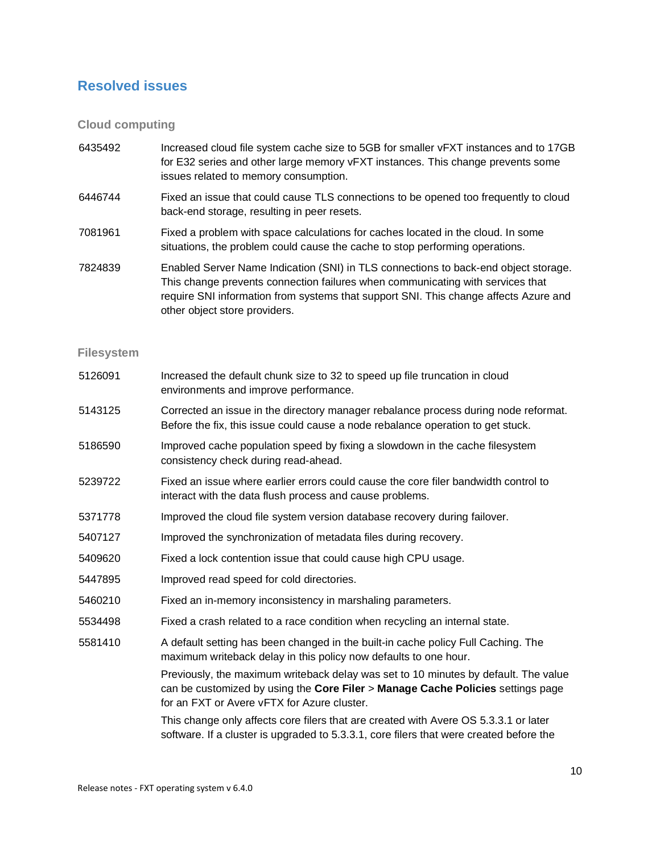### <span id="page-9-0"></span>**Resolved issues**

#### **Cloud computing**

| 6435492 | Increased cloud file system cache size to 5GB for smaller vFXT instances and to 17GB<br>for E32 series and other large memory vFXT instances. This change prevents some<br>issues related to memory consumption.                                                                               |
|---------|------------------------------------------------------------------------------------------------------------------------------------------------------------------------------------------------------------------------------------------------------------------------------------------------|
| 6446744 | Fixed an issue that could cause TLS connections to be opened too frequently to cloud<br>back-end storage, resulting in peer resets.                                                                                                                                                            |
| 7081961 | Fixed a problem with space calculations for caches located in the cloud. In some<br>situations, the problem could cause the cache to stop performing operations.                                                                                                                               |
| 7824839 | Enabled Server Name Indication (SNI) in TLS connections to back-end object storage.<br>This change prevents connection failures when communicating with services that<br>require SNI information from systems that support SNI. This change affects Azure and<br>other object store providers. |

#### **Filesystem**

| 5126091 | Increased the default chunk size to 32 to speed up file truncation in cloud<br>environments and improve performance.                                                                                                  |
|---------|-----------------------------------------------------------------------------------------------------------------------------------------------------------------------------------------------------------------------|
| 5143125 | Corrected an issue in the directory manager rebalance process during node reformat.<br>Before the fix, this issue could cause a node rebalance operation to get stuck.                                                |
| 5186590 | Improved cache population speed by fixing a slowdown in the cache filesystem<br>consistency check during read-ahead.                                                                                                  |
| 5239722 | Fixed an issue where earlier errors could cause the core filer bandwidth control to<br>interact with the data flush process and cause problems.                                                                       |
| 5371778 | Improved the cloud file system version database recovery during failover.                                                                                                                                             |
| 5407127 | Improved the synchronization of metadata files during recovery.                                                                                                                                                       |
| 5409620 | Fixed a lock contention issue that could cause high CPU usage.                                                                                                                                                        |
| 5447895 | Improved read speed for cold directories.                                                                                                                                                                             |
| 5460210 | Fixed an in-memory inconsistency in marshaling parameters.                                                                                                                                                            |
| 5534498 | Fixed a crash related to a race condition when recycling an internal state.                                                                                                                                           |
| 5581410 | A default setting has been changed in the built-in cache policy Full Caching. The<br>maximum writeback delay in this policy now defaults to one hour.                                                                 |
|         | Previously, the maximum writeback delay was set to 10 minutes by default. The value<br>can be customized by using the Core Filer > Manage Cache Policies settings page<br>for an FXT or Avere vFTX for Azure cluster. |
|         | This change only affects core filers that are created with Avere OS 5.3.3.1 or later<br>software. If a cluster is upgraded to 5.3.3.1, core filers that were created before the                                       |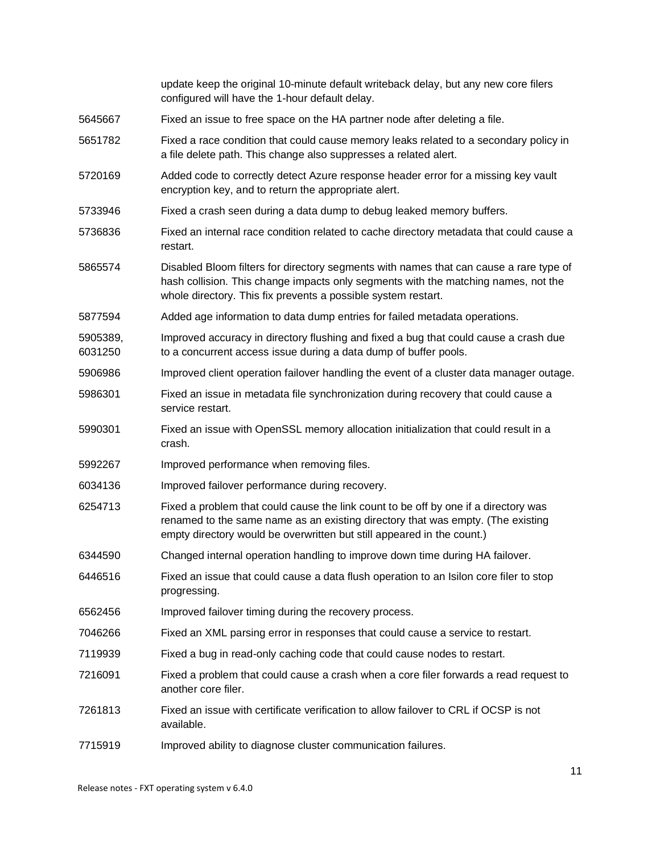|                     | update keep the original 10-minute default writeback delay, but any new core filers<br>configured will have the 1-hour default delay.                                                                                                            |
|---------------------|--------------------------------------------------------------------------------------------------------------------------------------------------------------------------------------------------------------------------------------------------|
| 5645667             | Fixed an issue to free space on the HA partner node after deleting a file.                                                                                                                                                                       |
| 5651782             | Fixed a race condition that could cause memory leaks related to a secondary policy in<br>a file delete path. This change also suppresses a related alert.                                                                                        |
| 5720169             | Added code to correctly detect Azure response header error for a missing key vault<br>encryption key, and to return the appropriate alert.                                                                                                       |
| 5733946             | Fixed a crash seen during a data dump to debug leaked memory buffers.                                                                                                                                                                            |
| 5736836             | Fixed an internal race condition related to cache directory metadata that could cause a<br>restart.                                                                                                                                              |
| 5865574             | Disabled Bloom filters for directory segments with names that can cause a rare type of<br>hash collision. This change impacts only segments with the matching names, not the<br>whole directory. This fix prevents a possible system restart.    |
| 5877594             | Added age information to data dump entries for failed metadata operations.                                                                                                                                                                       |
| 5905389,<br>6031250 | Improved accuracy in directory flushing and fixed a bug that could cause a crash due<br>to a concurrent access issue during a data dump of buffer pools.                                                                                         |
| 5906986             | Improved client operation failover handling the event of a cluster data manager outage.                                                                                                                                                          |
| 5986301             | Fixed an issue in metadata file synchronization during recovery that could cause a<br>service restart.                                                                                                                                           |
| 5990301             | Fixed an issue with OpenSSL memory allocation initialization that could result in a<br>crash.                                                                                                                                                    |
| 5992267             | Improved performance when removing files.                                                                                                                                                                                                        |
| 6034136             | Improved failover performance during recovery.                                                                                                                                                                                                   |
| 6254713             | Fixed a problem that could cause the link count to be off by one if a directory was<br>renamed to the same name as an existing directory that was empty. (The existing<br>empty directory would be overwritten but still appeared in the count.) |
| 6344590             | Changed internal operation handling to improve down time during HA failover.                                                                                                                                                                     |
| 6446516             | Fixed an issue that could cause a data flush operation to an Isilon core filer to stop<br>progressing.                                                                                                                                           |
| 6562456             | Improved failover timing during the recovery process.                                                                                                                                                                                            |
| 7046266             | Fixed an XML parsing error in responses that could cause a service to restart.                                                                                                                                                                   |
| 7119939             | Fixed a bug in read-only caching code that could cause nodes to restart.                                                                                                                                                                         |
| 7216091             | Fixed a problem that could cause a crash when a core filer forwards a read request to<br>another core filer.                                                                                                                                     |
| 7261813             | Fixed an issue with certificate verification to allow failover to CRL if OCSP is not<br>available.                                                                                                                                               |
| 7715919             | Improved ability to diagnose cluster communication failures.                                                                                                                                                                                     |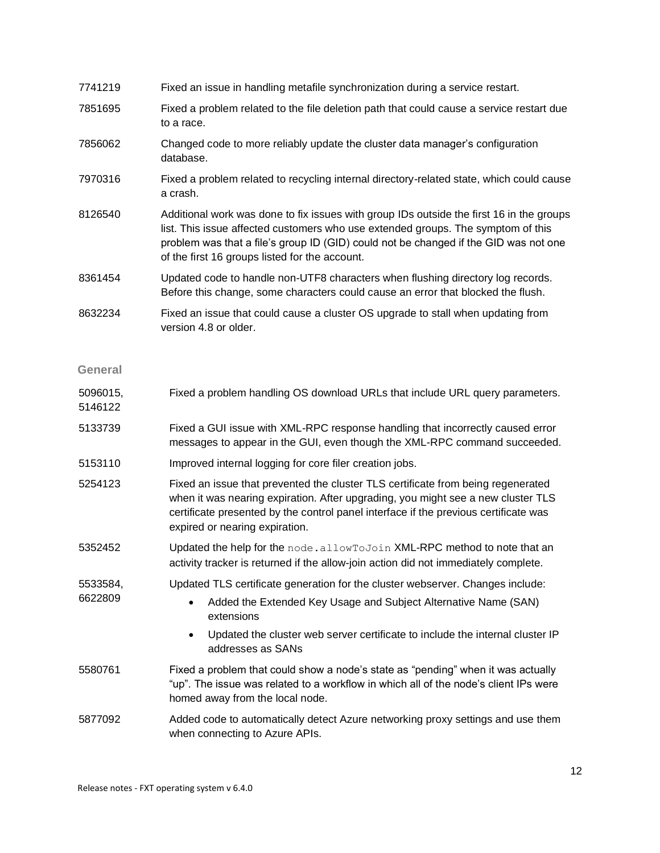| 7741219             | Fixed an issue in handling metafile synchronization during a service restart.                                                                                                                                                                                                                                          |
|---------------------|------------------------------------------------------------------------------------------------------------------------------------------------------------------------------------------------------------------------------------------------------------------------------------------------------------------------|
| 7851695             | Fixed a problem related to the file deletion path that could cause a service restart due<br>to a race.                                                                                                                                                                                                                 |
| 7856062             | Changed code to more reliably update the cluster data manager's configuration<br>database.                                                                                                                                                                                                                             |
| 7970316             | Fixed a problem related to recycling internal directory-related state, which could cause<br>a crash.                                                                                                                                                                                                                   |
| 8126540             | Additional work was done to fix issues with group IDs outside the first 16 in the groups<br>list. This issue affected customers who use extended groups. The symptom of this<br>problem was that a file's group ID (GID) could not be changed if the GID was not one<br>of the first 16 groups listed for the account. |
| 8361454             | Updated code to handle non-UTF8 characters when flushing directory log records.<br>Before this change, some characters could cause an error that blocked the flush.                                                                                                                                                    |
| 8632234             | Fixed an issue that could cause a cluster OS upgrade to stall when updating from<br>version 4.8 or older.                                                                                                                                                                                                              |
| <b>General</b>      |                                                                                                                                                                                                                                                                                                                        |
| 5096015,<br>5146122 | Fixed a problem handling OS download URLs that include URL query parameters.                                                                                                                                                                                                                                           |
| 5133739             | Fixed a GUI issue with XML-RPC response handling that incorrectly caused error<br>messages to appear in the GUI, even though the XML-RPC command succeeded.                                                                                                                                                            |
| 5153110             | Improved internal logging for core filer creation jobs.                                                                                                                                                                                                                                                                |
| 5254123             | Fixed an issue that prevented the cluster TLS certificate from being regenerated<br>when it was nearing expiration. After upgrading, you might see a new cluster TLS<br>certificate presented by the control panel interface if the previous certificate was<br>expired or nearing expiration.                         |
| 5352452             | Updated the help for the node.allowToJoin XML-RPC method to note that an<br>activity tracker is returned if the allow-join action did not immediately complete.                                                                                                                                                        |
| 5533584,<br>6622809 | Updated TLS certificate generation for the cluster webserver. Changes include:<br>Added the Extended Key Usage and Subject Alternative Name (SAN)<br>extensions<br>Updated the cluster web server certificate to include the internal cluster IP<br>$\bullet$                                                          |
|                     | addresses as SANs                                                                                                                                                                                                                                                                                                      |
| 5580761             | Fixed a problem that could show a node's state as "pending" when it was actually<br>"up". The issue was related to a workflow in which all of the node's client IPs were<br>homed away from the local node.                                                                                                            |
| 5877092             | Added code to automatically detect Azure networking proxy settings and use them<br>when connecting to Azure APIs.                                                                                                                                                                                                      |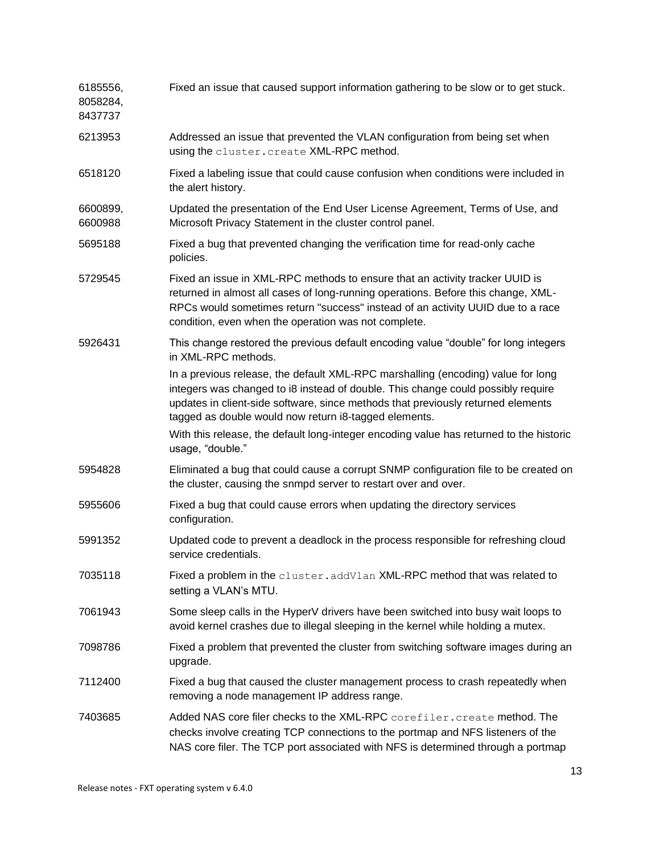| 6185556,<br>8058284,<br>8437737 | Fixed an issue that caused support information gathering to be slow or to get stuck.                                                                                                                                                                                                                              |
|---------------------------------|-------------------------------------------------------------------------------------------------------------------------------------------------------------------------------------------------------------------------------------------------------------------------------------------------------------------|
| 6213953                         | Addressed an issue that prevented the VLAN configuration from being set when<br>using the cluster. create XML-RPC method.                                                                                                                                                                                         |
| 6518120                         | Fixed a labeling issue that could cause confusion when conditions were included in<br>the alert history.                                                                                                                                                                                                          |
| 6600899,<br>6600988             | Updated the presentation of the End User License Agreement, Terms of Use, and<br>Microsoft Privacy Statement in the cluster control panel.                                                                                                                                                                        |
| 5695188                         | Fixed a bug that prevented changing the verification time for read-only cache<br>policies.                                                                                                                                                                                                                        |
| 5729545                         | Fixed an issue in XML-RPC methods to ensure that an activity tracker UUID is<br>returned in almost all cases of long-running operations. Before this change, XML-<br>RPCs would sometimes return "success" instead of an activity UUID due to a race<br>condition, even when the operation was not complete.      |
| 5926431                         | This change restored the previous default encoding value "double" for long integers<br>in XML-RPC methods.                                                                                                                                                                                                        |
|                                 | In a previous release, the default XML-RPC marshalling (encoding) value for long<br>integers was changed to i8 instead of double. This change could possibly require<br>updates in client-side software, since methods that previously returned elements<br>tagged as double would now return i8-tagged elements. |
|                                 | With this release, the default long-integer encoding value has returned to the historic<br>usage, "double."                                                                                                                                                                                                       |
| 5954828                         | Eliminated a bug that could cause a corrupt SNMP configuration file to be created on<br>the cluster, causing the snmpd server to restart over and over.                                                                                                                                                           |
| 5955606                         | Fixed a bug that could cause errors when updating the directory services<br>configuration.                                                                                                                                                                                                                        |
| 5991352                         | Updated code to prevent a deadlock in the process responsible for refreshing cloud<br>service credentials.                                                                                                                                                                                                        |
| 7035118                         | Fixed a problem in the cluster.addVlan XML-RPC method that was related to<br>setting a VLAN's MTU.                                                                                                                                                                                                                |
| 7061943                         | Some sleep calls in the HyperV drivers have been switched into busy wait loops to<br>avoid kernel crashes due to illegal sleeping in the kernel while holding a mutex.                                                                                                                                            |
| 7098786                         | Fixed a problem that prevented the cluster from switching software images during an<br>upgrade.                                                                                                                                                                                                                   |
| 7112400                         | Fixed a bug that caused the cluster management process to crash repeatedly when<br>removing a node management IP address range.                                                                                                                                                                                   |
| 7403685                         | Added NAS core filer checks to the XML-RPC corefiler. create method. The<br>checks involve creating TCP connections to the portmap and NFS listeners of the<br>NAS core filer. The TCP port associated with NFS is determined through a portmap                                                                   |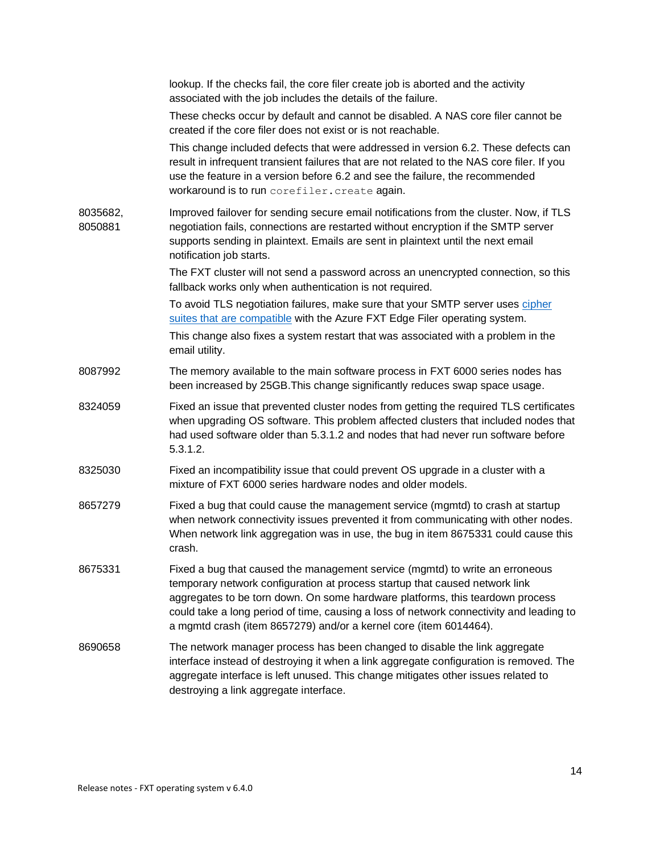|                     | lookup. If the checks fail, the core filer create job is aborted and the activity<br>associated with the job includes the details of the failure.                                                                                                                                                                                                                                                            |
|---------------------|--------------------------------------------------------------------------------------------------------------------------------------------------------------------------------------------------------------------------------------------------------------------------------------------------------------------------------------------------------------------------------------------------------------|
|                     | These checks occur by default and cannot be disabled. A NAS core filer cannot be<br>created if the core filer does not exist or is not reachable.                                                                                                                                                                                                                                                            |
|                     | This change included defects that were addressed in version 6.2. These defects can<br>result in infrequent transient failures that are not related to the NAS core filer. If you<br>use the feature in a version before 6.2 and see the failure, the recommended<br>workaround is to run corefiler. create again.                                                                                            |
| 8035682,<br>8050881 | Improved failover for sending secure email notifications from the cluster. Now, if TLS<br>negotiation fails, connections are restarted without encryption if the SMTP server<br>supports sending in plaintext. Emails are sent in plaintext until the next email<br>notification job starts.                                                                                                                 |
|                     | The FXT cluster will not send a password across an unencrypted connection, so this<br>fallback works only when authentication is not required.                                                                                                                                                                                                                                                               |
|                     | To avoid TLS negotiation failures, make sure that your SMTP server uses cipher<br>suites that are compatible with the Azure FXT Edge Filer operating system.                                                                                                                                                                                                                                                 |
|                     | This change also fixes a system restart that was associated with a problem in the<br>email utility.                                                                                                                                                                                                                                                                                                          |
| 8087992             | The memory available to the main software process in FXT 6000 series nodes has<br>been increased by 25GB. This change significantly reduces swap space usage.                                                                                                                                                                                                                                                |
| 8324059             | Fixed an issue that prevented cluster nodes from getting the required TLS certificates<br>when upgrading OS software. This problem affected clusters that included nodes that<br>had used software older than 5.3.1.2 and nodes that had never run software before<br>5.3.1.2.                                                                                                                               |
| 8325030             | Fixed an incompatibility issue that could prevent OS upgrade in a cluster with a<br>mixture of FXT 6000 series hardware nodes and older models.                                                                                                                                                                                                                                                              |
| 8657279             | Fixed a bug that could cause the management service (mgmtd) to crash at startup<br>when network connectivity issues prevented it from communicating with other nodes.<br>When network link aggregation was in use, the bug in item 8675331 could cause this<br>crash.                                                                                                                                        |
| 8675331             | Fixed a bug that caused the management service (mgmtd) to write an erroneous<br>temporary network configuration at process startup that caused network link<br>aggregates to be torn down. On some hardware platforms, this teardown process<br>could take a long period of time, causing a loss of network connectivity and leading to<br>a mgmtd crash (item 8657279) and/or a kernel core (item 6014464). |
| 8690658             | The network manager process has been changed to disable the link aggregate<br>interface instead of destroying it when a link aggregate configuration is removed. The<br>aggregate interface is left unused. This change mitigates other issues related to<br>destroying a link aggregate interface.                                                                                                          |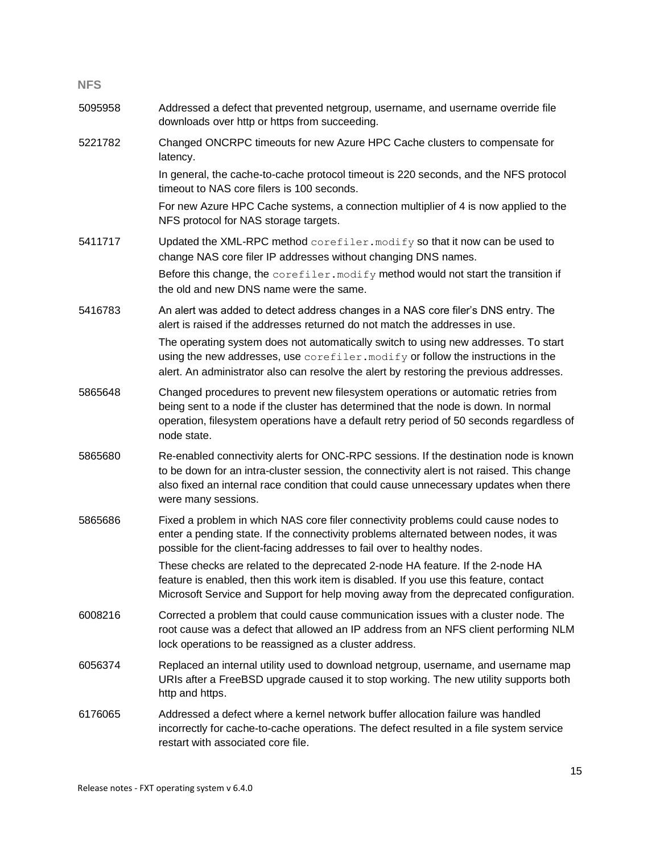| <b>NFS</b> |                                                                                                                                                                                                                                                                                                     |
|------------|-----------------------------------------------------------------------------------------------------------------------------------------------------------------------------------------------------------------------------------------------------------------------------------------------------|
| 5095958    | Addressed a defect that prevented netgroup, username, and username override file<br>downloads over http or https from succeeding.                                                                                                                                                                   |
| 5221782    | Changed ONCRPC timeouts for new Azure HPC Cache clusters to compensate for<br>latency.                                                                                                                                                                                                              |
|            | In general, the cache-to-cache protocol timeout is 220 seconds, and the NFS protocol<br>timeout to NAS core filers is 100 seconds.                                                                                                                                                                  |
|            | For new Azure HPC Cache systems, a connection multiplier of 4 is now applied to the<br>NFS protocol for NAS storage targets.                                                                                                                                                                        |
| 5411717    | Updated the XML-RPC method corefiler. modify so that it now can be used to<br>change NAS core filer IP addresses without changing DNS names.                                                                                                                                                        |
|            | Before this change, the corefiler. modify method would not start the transition if<br>the old and new DNS name were the same.                                                                                                                                                                       |
| 5416783    | An alert was added to detect address changes in a NAS core filer's DNS entry. The<br>alert is raised if the addresses returned do not match the addresses in use.                                                                                                                                   |
|            | The operating system does not automatically switch to using new addresses. To start<br>using the new addresses, use corefiler. modify or follow the instructions in the<br>alert. An administrator also can resolve the alert by restoring the previous addresses.                                  |
| 5865648    | Changed procedures to prevent new filesystem operations or automatic retries from<br>being sent to a node if the cluster has determined that the node is down. In normal<br>operation, filesystem operations have a default retry period of 50 seconds regardless of<br>node state.                 |
| 5865680    | Re-enabled connectivity alerts for ONC-RPC sessions. If the destination node is known<br>to be down for an intra-cluster session, the connectivity alert is not raised. This change<br>also fixed an internal race condition that could cause unnecessary updates when there<br>were many sessions. |
| 5865686    | Fixed a problem in which NAS core filer connectivity problems could cause nodes to<br>enter a pending state. If the connectivity problems alternated between nodes, it was<br>possible for the client-facing addresses to fail over to healthy nodes.                                               |
|            | These checks are related to the deprecated 2-node HA feature. If the 2-node HA<br>feature is enabled, then this work item is disabled. If you use this feature, contact<br>Microsoft Service and Support for help moving away from the deprecated configuration.                                    |
| 6008216    | Corrected a problem that could cause communication issues with a cluster node. The<br>root cause was a defect that allowed an IP address from an NFS client performing NLM<br>lock operations to be reassigned as a cluster address.                                                                |
| 6056374    | Replaced an internal utility used to download netgroup, username, and username map<br>URIs after a FreeBSD upgrade caused it to stop working. The new utility supports both<br>http and https.                                                                                                      |
| 6176065    | Addressed a defect where a kernel network buffer allocation failure was handled<br>incorrectly for cache-to-cache operations. The defect resulted in a file system service<br>restart with associated core file.                                                                                    |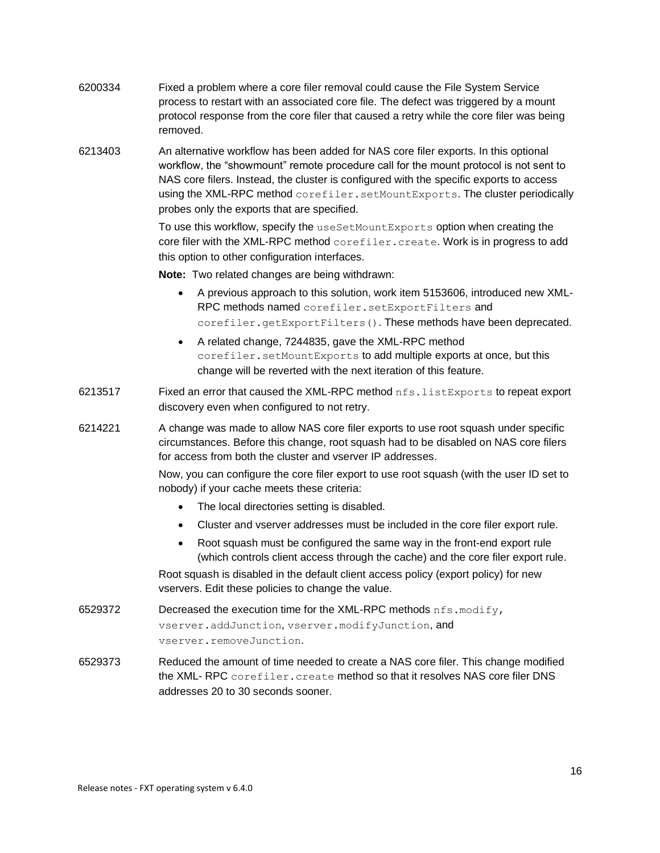| 6200334 | Fixed a problem where a core filer removal could cause the File System Service<br>process to restart with an associated core file. The defect was triggered by a mount<br>protocol response from the core filer that caused a retry while the core filer was being<br>removed.                                                                                                                         |
|---------|--------------------------------------------------------------------------------------------------------------------------------------------------------------------------------------------------------------------------------------------------------------------------------------------------------------------------------------------------------------------------------------------------------|
| 6213403 | An alternative workflow has been added for NAS core filer exports. In this optional<br>workflow, the "showmount" remote procedure call for the mount protocol is not sent to<br>NAS core filers. Instead, the cluster is configured with the specific exports to access<br>using the XML-RPC method corefiler.setMountExports. The cluster periodically<br>probes only the exports that are specified. |
|         | To use this workflow, specify the useSetMountExports option when creating the<br>core filer with the XML-RPC method corefiler.create. Work is in progress to add<br>this option to other configuration interfaces.                                                                                                                                                                                     |
|         | Note: Two related changes are being withdrawn:                                                                                                                                                                                                                                                                                                                                                         |
|         | A previous approach to this solution, work item 5153606, introduced new XML-<br>$\bullet$<br>RPC methods named corefiler. setExportFilters and<br>corefiler.getExportFilters(). These methods have been deprecated.                                                                                                                                                                                    |
|         | A related change, 7244835, gave the XML-RPC method<br>٠<br>corefiler. setMountExports to add multiple exports at once, but this<br>change will be reverted with the next iteration of this feature.                                                                                                                                                                                                    |
| 6213517 | Fixed an error that caused the XML-RPC method nfs. listExports to repeat export<br>discovery even when configured to not retry.                                                                                                                                                                                                                                                                        |
| 6214221 | A change was made to allow NAS core filer exports to use root squash under specific<br>circumstances. Before this change, root squash had to be disabled on NAS core filers<br>for access from both the cluster and vserver IP addresses.                                                                                                                                                              |
|         | Now, you can configure the core filer export to use root squash (with the user ID set to<br>nobody) if your cache meets these criteria:                                                                                                                                                                                                                                                                |
|         | The local directories setting is disabled.<br>$\bullet$                                                                                                                                                                                                                                                                                                                                                |
|         | Cluster and vserver addresses must be included in the core filer export rule.<br>$\bullet$                                                                                                                                                                                                                                                                                                             |
|         | Root squash must be configured the same way in the front-end export rule<br>٠<br>(which controls client access through the cache) and the core filer export rule.                                                                                                                                                                                                                                      |
|         | Root squash is disabled in the default client access policy (export policy) for new<br>vservers. Edit these policies to change the value.                                                                                                                                                                                                                                                              |
| 6529372 | Decreased the execution time for the XML-RPC methods nfs. modify,<br>vserver.addJunction, vserver.modifyJunction, and                                                                                                                                                                                                                                                                                  |
|         | vserver.removeJunction.                                                                                                                                                                                                                                                                                                                                                                                |
| 6529373 | Reduced the amount of time needed to create a NAS core filer. This change modified<br>the XML-RPC corefiler. create method so that it resolves NAS core filer DNS<br>addresses 20 to 30 seconds sooner.                                                                                                                                                                                                |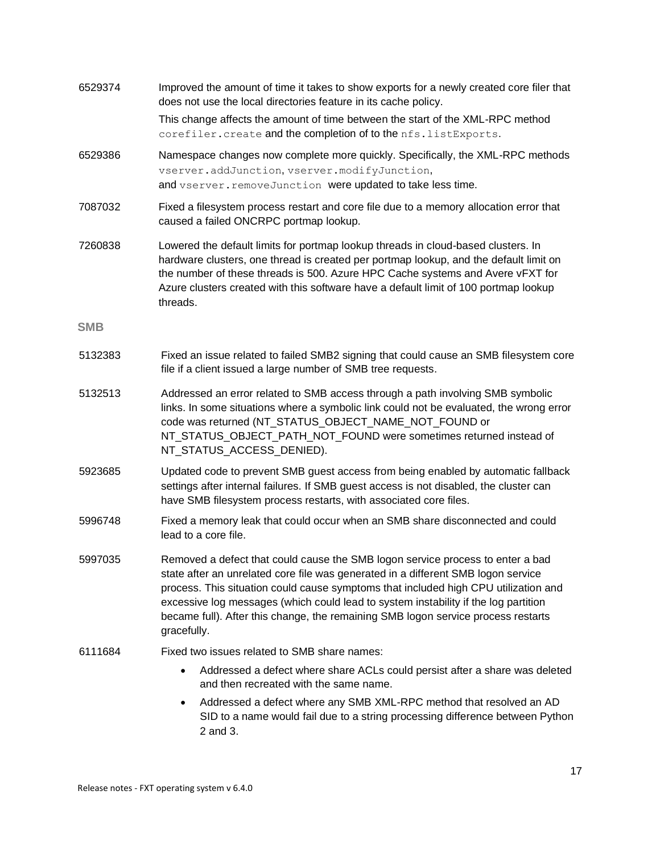| 6529374    | Improved the amount of time it takes to show exports for a newly created core filer that<br>does not use the local directories feature in its cache policy.                                                                                                                                                                                                                                                                                           |
|------------|-------------------------------------------------------------------------------------------------------------------------------------------------------------------------------------------------------------------------------------------------------------------------------------------------------------------------------------------------------------------------------------------------------------------------------------------------------|
|            | This change affects the amount of time between the start of the XML-RPC method<br>corefiler. create and the completion of to the nfs. listExports.                                                                                                                                                                                                                                                                                                    |
| 6529386    | Namespace changes now complete more quickly. Specifically, the XML-RPC methods<br>vserver.addJunction, vserver.modifyJunction,<br>and vserver. removeJunction were updated to take less time.                                                                                                                                                                                                                                                         |
| 7087032    | Fixed a filesystem process restart and core file due to a memory allocation error that<br>caused a failed ONCRPC portmap lookup.                                                                                                                                                                                                                                                                                                                      |
| 7260838    | Lowered the default limits for portmap lookup threads in cloud-based clusters. In<br>hardware clusters, one thread is created per portmap lookup, and the default limit on<br>the number of these threads is 500. Azure HPC Cache systems and Avere vFXT for<br>Azure clusters created with this software have a default limit of 100 portmap lookup<br>threads.                                                                                      |
| <b>SMB</b> |                                                                                                                                                                                                                                                                                                                                                                                                                                                       |
| 5132383    | Fixed an issue related to failed SMB2 signing that could cause an SMB filesystem core<br>file if a client issued a large number of SMB tree requests.                                                                                                                                                                                                                                                                                                 |
| 5132513    | Addressed an error related to SMB access through a path involving SMB symbolic<br>links. In some situations where a symbolic link could not be evaluated, the wrong error<br>code was returned (NT_STATUS_OBJECT_NAME_NOT_FOUND or<br>NT_STATUS_OBJECT_PATH_NOT_FOUND were sometimes returned instead of<br>NT_STATUS_ACCESS_DENIED).                                                                                                                 |
| 5923685    | Updated code to prevent SMB guest access from being enabled by automatic fallback<br>settings after internal failures. If SMB guest access is not disabled, the cluster can<br>have SMB filesystem process restarts, with associated core files.                                                                                                                                                                                                      |
| 5996748    | Fixed a memory leak that could occur when an SMB share disconnected and could<br>lead to a core file.                                                                                                                                                                                                                                                                                                                                                 |
| 5997035    | Removed a defect that could cause the SMB logon service process to enter a bad<br>state after an unrelated core file was generated in a different SMB logon service<br>process. This situation could cause symptoms that included high CPU utilization and<br>excessive log messages (which could lead to system instability if the log partition<br>became full). After this change, the remaining SMB logon service process restarts<br>gracefully. |
| 6111684    | Fixed two issues related to SMB share names:                                                                                                                                                                                                                                                                                                                                                                                                          |
|            | Addressed a defect where share ACLs could persist after a share was deleted<br>and then recreated with the same name.                                                                                                                                                                                                                                                                                                                                 |
|            | Addressed a defect where any SMB XML-RPC method that resolved an AD<br>$\bullet$<br>SID to a name would fail due to a string processing difference between Python<br>2 and 3.                                                                                                                                                                                                                                                                         |